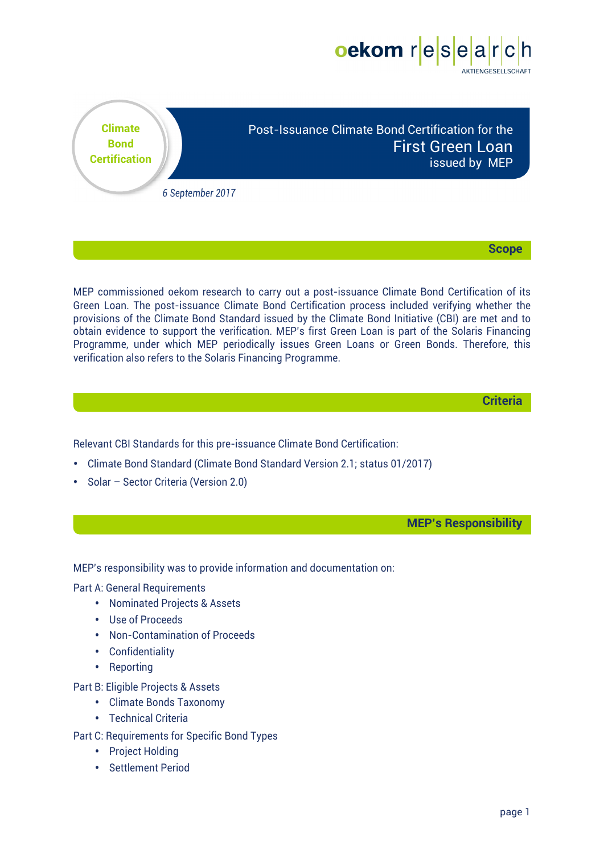



**Scope**

MEP commissioned oekom research to carry out a post-issuance Climate Bond Certification of its Green Loan. The post-issuance Climate Bond Certification process included verifying whether the provisions of the Climate Bond Standard issued by the Climate Bond Initiative (CBI) are met and to obtain evidence to support the verification. MEP's first Green Loan is part of the Solaris Financing Programme, under which MEP periodically issues Green Loans or Green Bonds. Therefore, this verification also refers to the Solaris Financing Programme.

**Criteria**

Relevant CBI Standards for this pre-issuance Climate Bond Certification:

- Climate Bond Standard (Climate Bond Standard Version 2.1; status 01/2017)
- Solar Sector Criteria (Version 2.0)

**MEP's Responsibility**

MEP's responsibility was to provide information and documentation on:

Part A: General Requirements

- Nominated Projects & Assets
- Use of Proceeds
- Non-Contamination of Proceeds
- Confidentiality
- Reporting

Part B: Eligible Projects & Assets

- Climate Bonds Taxonomy
- Technical Criteria
- Part C: Requirements for Specific Bond Types
	- Project Holding
	- Settlement Period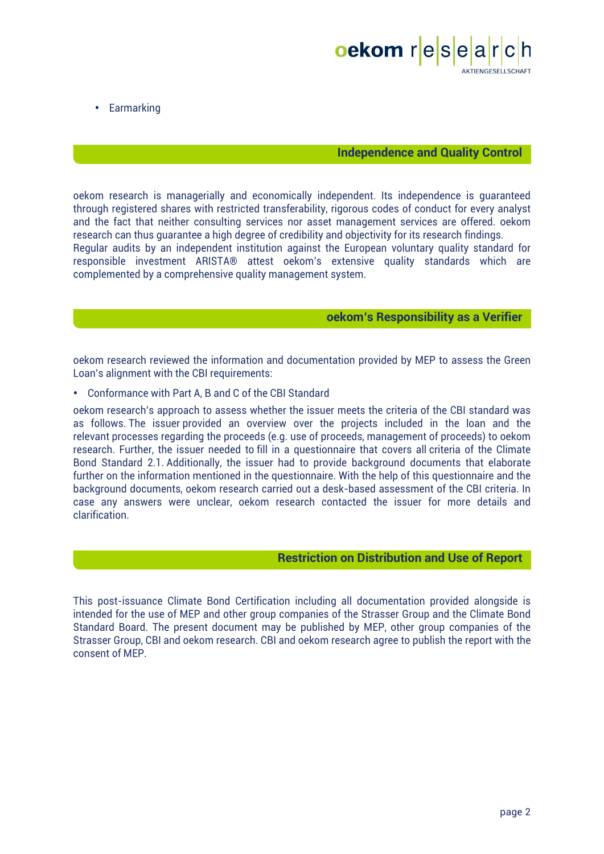

• Earmarking

## **Independence and Quality Control**

oekom research is managerially and economically independent. Its independence is guaranteed through registered shares with restricted transferability, rigorous codes of conduct for every analyst and the fact that neither consulting services nor asset management services are offered. oekom research can thus guarantee a high degree of credibility and objectivity for its research findings.

Regular audits by an independent institution against the European voluntary quality standard for responsible investment ARISTA® attest oekom's extensive quality standards which are complemented by a comprehensive quality management system.

## **oekom's Responsibility as a Verifier**

oekom research reviewed the information and documentation provided by MEP to assess the Green Loan's alignment with the CBI requirements:

• Conformance with Part A, B and C of the CBI Standard

oekom research's approach to assess whether the issuer meets the criteria of the CBI standard was as follows. The issuer provided an overview over the projects included in the loan and the relevant processes regarding the proceeds (e.g. use of proceeds, management of proceeds) to oekom research. Further, the issuer needed to fill in a questionnaire that covers all criteria of the Climate Bond Standard 2.1. Additionally, the issuer had to provide background documents that elaborate further on the information mentioned in the questionnaire. With the help of this questionnaire and the background documents, oekom research carried out a desk-based assessment of the CBI criteria. In case any answers were unclear, oekom research contacted the issuer for more details and clarification.

### **Restriction on Distribution and Use of Report**

This post-issuance Climate Bond Certification including all documentation provided alongside is intended for the use of MEP and other group companies of the Strasser Group and the Climate Bond Standard Board. The present document may be published by MEP, other group companies of the Strasser Group, CBI and oekom research. CBI and oekom research agree to publish the report with the consent of MEP.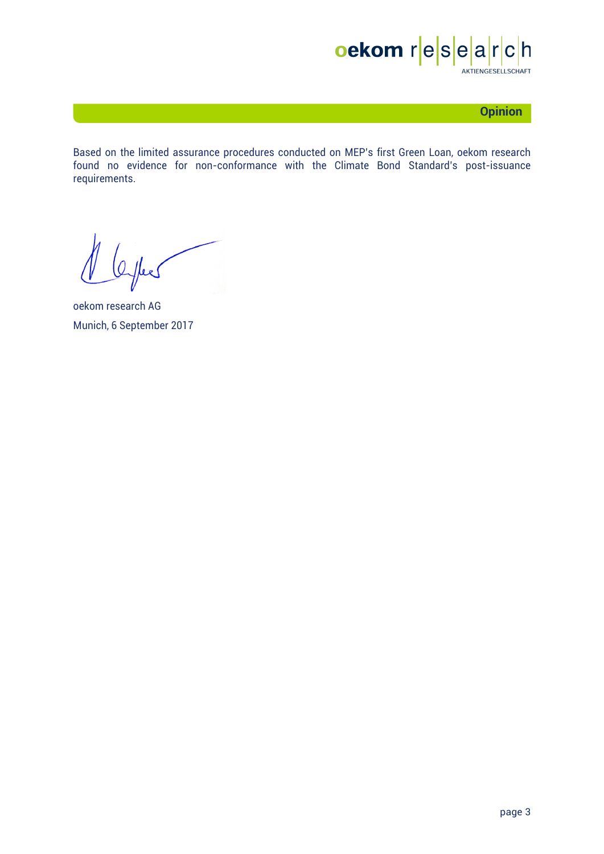

# **Opinion**

Based on the limited assurance procedures conducted on MEP's first Green Loan, oekom research found no evidence for non-conformance with the Climate Bond Standard's post-issuance requirements.

Offees

oekom research AG Munich, 6 September 2017